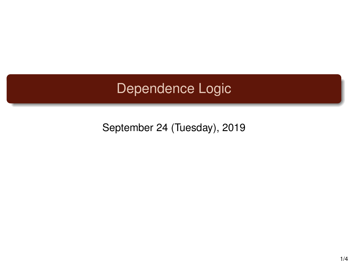## Dependence Logic

September 24 (Tuesday), 2019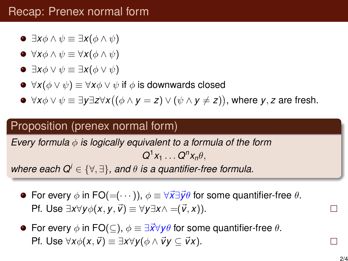- $\bullet$  ∃*x*φ ∧  $\psi \equiv \exists$ *x*( $\phi \land \psi$ )
- $\blacktriangleright \forall x \phi \land \psi \equiv \forall x (\phi \land \psi)$
- $\bullet$   $\exists$ *x* $\phi \vee \psi \equiv \exists$ *x*( $\phi \vee \psi$ )
- $\blacktriangleright \forall x(\phi \lor \psi) \equiv \forall x \phi \lor \psi$  if  $\phi$  is downwards closed
- ∀*x*φ ∨ ψ ≡ ∃*y*∃*z*∀*x* (φ ∧ *y* = *z*) ∨ (ψ ∧ *y* 6= *z*) , where *y*, *z* are fresh.

## Proposition (prenex normal form)

*Every formula* φ *is logically equivalent to a formula of the form*  $Q^1 x_1 \ldots Q^n x_n \theta$ ,

*where each*  $Q^i \in \{ \forall \in \mathbb{R} \}$ *, and*  $\theta$  *is a quantifier-free formula.* 

- **•** For every  $\phi$  in FO(= $(\cdots)$ ),  $\phi \equiv \forall \vec{x} \exists \vec{y} \theta$  for some quantifier-free  $\theta$ . Pf. Use ∃*x*∀*y* $\phi$ (*x*, *y*,  $\vec{v}$ ) ≡ ∀*y*∃*x*∧ =( $\vec{v}$ , *x*)).
- **•** For every  $\phi$  in FO( $\subseteq$ ),  $\phi \equiv \exists \vec{x} \forall y \theta$  for some quantifier-free  $\theta$ .  $Pf.$  Use  $\forall x \phi(x, \vec{v}) \equiv \exists x \forall y (\phi \land \vec{v}y \subset \vec{v}x)$ .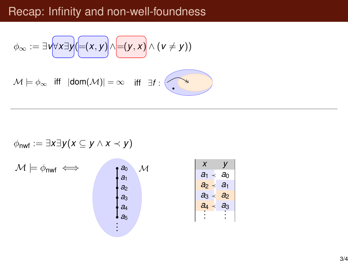## Recap: Infinity and non-well-foundness

$$
\phi_{\infty} := \exists v \forall x \exists y (=(x, y) \land \exists (y, x) \land (v \neq y))
$$

 $\mathcal{M} \models \phi_{\infty}$  iff  $|\text{dom}(\mathcal{M})| = \infty$  iff  $\exists f : \left\{ \bullet \right\}$ 

$$
\phi_{\mathsf{nwf}} := \exists x \exists y (x \subseteq y \land x \prec y)
$$

$$
\mathcal{M} \models \phi_{\text{nwf}} \iff \begin{array}{c} a_0 \\ a_1 \\ a_2 \\ a_3 \\ a_4 \\ a_5 \end{array} \qquad \mathcal{M} \qquad \begin{array}{c} x \\ a_1 \prec a_0 \\ a_1 \prec a_0 \\ a_2 \prec a_1 \\ a_3 \prec a_2 \\ \vdots \end{array}
$$